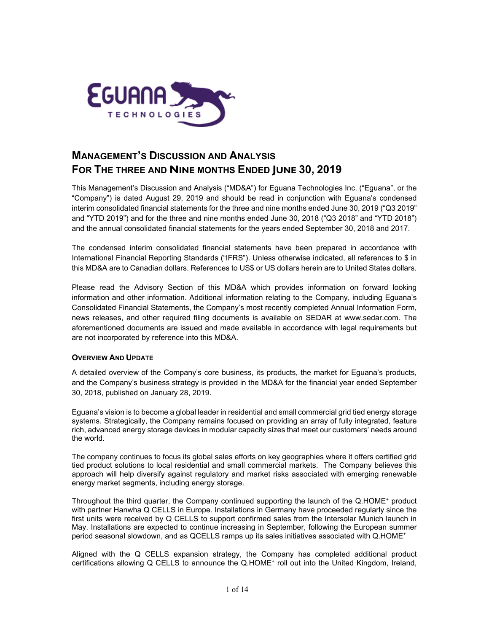

# **MANAGEMENT'S DISCUSSION AND ANALYSIS FOR THE THREE AND NINE MONTHS ENDED JUNE 30, 2019**

This Management's Discussion and Analysis ("MD&A") for Eguana Technologies Inc. ("Eguana", or the "Company") is dated August 29, 2019 and should be read in conjunction with Eguana's condensed interim consolidated financial statements for the three and nine months ended June 30, 2019 ("Q3 2019" and "YTD 2019") and for the three and nine months ended June 30, 2018 ("Q3 2018" and "YTD 2018") and the annual consolidated financial statements for the years ended September 30, 2018 and 2017.

The condensed interim consolidated financial statements have been prepared in accordance with International Financial Reporting Standards ("IFRS"). Unless otherwise indicated, all references to \$ in this MD&A are to Canadian dollars. References to US\$ or US dollars herein are to United States dollars.

Please read the Advisory Section of this MD&A which provides information on forward looking information and other information. Additional information relating to the Company, including Eguana's Consolidated Financial Statements, the Company's most recently completed Annual Information Form, news releases, and other required filing documents is available on SEDAR at [www.sedar.com.](http://www.sedar.com/) The aforementioned documents are issued and made available in accordance with legal requirements but are not incorporated by reference into this MD&A.

# **OVERVIEW AND UPDATE**

A detailed overview of the Company's core business, its products, the market for Eguana's products, and the Company's business strategy is provided in the MD&A for the financial year ended September 30, 2018, published on January 28, 2019.

Eguana's vision is to become a global leader in residential and small commercial grid tied energy storage systems. Strategically, the Company remains focused on providing an array of fully integrated, feature rich, advanced energy storage devices in modular capacity sizes that meet our customers' needs around the world.

The company continues to focus its global sales efforts on key geographies where it offers certified grid tied product solutions to local residential and small commercial markets. The Company believes this approach will help diversify against regulatory and market risks associated with emerging renewable energy market segments, including energy storage.

Throughout the third quarter, the Company continued supporting the launch of the Q.HOME<sup>+</sup> product with partner Hanwha Q CELLS in Europe. Installations in Germany have proceeded regularly since the first units were received by Q CELLS to support confirmed sales from the Intersolar Munich launch in May. Installations are expected to continue increasing in September, following the European summer period seasonal slowdown, and as QCELLS ramps up its sales initiatives associated with Q.HOME<sup>+</sup>

Aligned with the Q CELLS expansion strategy, the Company has completed additional product certifications allowing Q CELLS to announce the Q.HOME<sup>+</sup> roll out into the United Kingdom, Ireland,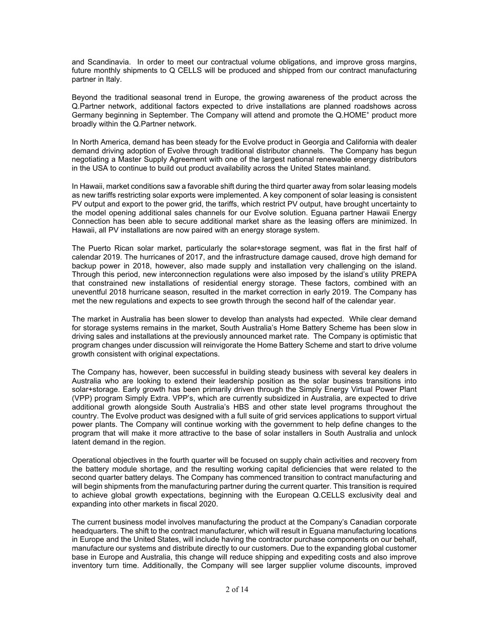and Scandinavia. In order to meet our contractual volume obligations, and improve gross margins, future monthly shipments to Q CELLS will be produced and shipped from our contract manufacturing partner in Italy.

Beyond the traditional seasonal trend in Europe, the growing awareness of the product across the Q.Partner network, additional factors expected to drive installations are planned roadshows across Germany beginning in September. The Company will attend and promote the Q.HOME<sup>+</sup> product more broadly within the Q.Partner network.

In North America, demand has been steady for the Evolve product in Georgia and California with dealer demand driving adoption of Evolve through traditional distributor channels. The Company has begun negotiating a Master Supply Agreement with one of the largest national renewable energy distributors in the USA to continue to build out product availability across the United States mainland.

In Hawaii, market conditions saw a favorable shift during the third quarter away from solar leasing models as new tariffs restricting solar exports were implemented. A key component of solar leasing is consistent PV output and export to the power grid, the tariffs, which restrict PV output, have brought uncertainty to the model opening additional sales channels for our Evolve solution. Eguana partner Hawaii Energy Connection has been able to secure additional market share as the leasing offers are minimized. In Hawaii, all PV installations are now paired with an energy storage system.

The Puerto Rican solar market, particularly the solar+storage segment, was flat in the first half of calendar 2019. The hurricanes of 2017, and the infrastructure damage caused, drove high demand for backup power in 2018, however, also made supply and installation very challenging on the island. Through this period, new interconnection regulations were also imposed by the island's utility PREPA that constrained new installations of residential energy storage. These factors, combined with an uneventful 2018 hurricane season, resulted in the market correction in early 2019. The Company has met the new regulations and expects to see growth through the second half of the calendar year.

The market in Australia has been slower to develop than analysts had expected. While clear demand for storage systems remains in the market, South Australia's Home Battery Scheme has been slow in driving sales and installations at the previously announced market rate. The Company is optimistic that program changes under discussion will reinvigorate the Home Battery Scheme and start to drive volume growth consistent with original expectations.

The Company has, however, been successful in building steady business with several key dealers in Australia who are looking to extend their leadership position as the solar business transitions into solar+storage. Early growth has been primarily driven through the Simply Energy Virtual Power Plant (VPP) program Simply Extra. VPP's, which are currently subsidized in Australia, are expected to drive additional growth alongside South Australia's HBS and other state level programs throughout the country. The Evolve product was designed with a full suite of grid services applications to support virtual power plants. The Company will continue working with the government to help define changes to the program that will make it more attractive to the base of solar installers in South Australia and unlock latent demand in the region.

Operational objectives in the fourth quarter will be focused on supply chain activities and recovery from the battery module shortage, and the resulting working capital deficiencies that were related to the second quarter battery delays. The Company has commenced transition to contract manufacturing and will begin shipments from the manufacturing partner during the current quarter. This transition is required to achieve global growth expectations, beginning with the European Q.CELLS exclusivity deal and expanding into other markets in fiscal 2020.

The current business model involves manufacturing the product at the Company's Canadian corporate headquarters. The shift to the contract manufacturer, which will result in Eguana manufacturing locations in Europe and the United States, will include having the contractor purchase components on our behalf, manufacture our systems and distribute directly to our customers. Due to the expanding global customer base in Europe and Australia, this change will reduce shipping and expediting costs and also improve inventory turn time. Additionally, the Company will see larger supplier volume discounts, improved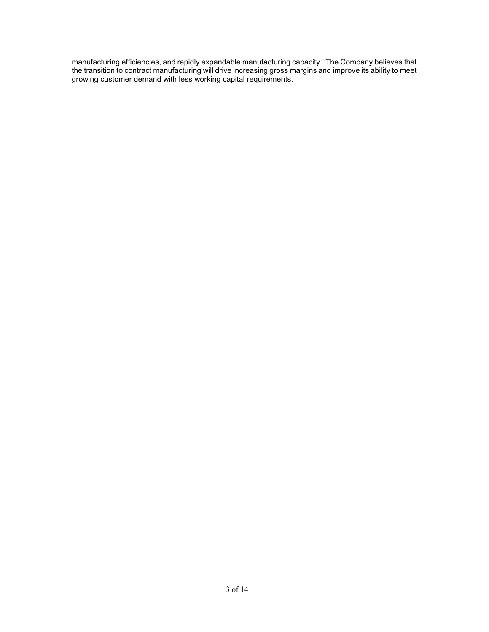manufacturing efficiencies, and rapidly expandable manufacturing capacity. The Company believes that the transition to contract manufacturing will drive increasing gross margins and improve its ability to meet growing customer demand with less working capital requirements.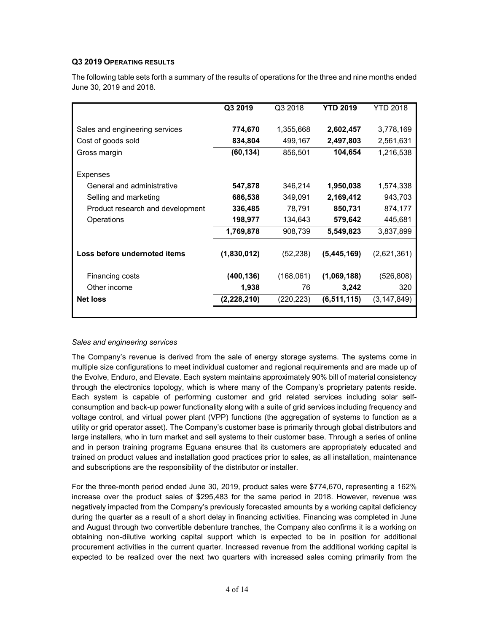# **Q3 2019 OPERATING RESULTS**

The following table sets forth a summary of the results of operations for the three and nine months ended June 30, 2019 and 2018.

|                                  | Q3 2019     | Q3 2018    | <b>YTD 2019</b> | YTD 2018    |
|----------------------------------|-------------|------------|-----------------|-------------|
| Sales and engineering services   | 774,670     | 1,355,668  | 2,602,457       | 3,778,169   |
| Cost of goods sold               | 834,804     | 499,167    | 2,497,803       | 2,561,631   |
| Gross margin                     | (60, 134)   | 856,501    | 104,654         | 1,216,538   |
| Expenses                         |             |            |                 |             |
| General and administrative       | 547,878     | 346,214    | 1,950,038       | 1,574,338   |
| Selling and marketing            | 686,538     | 349,091    | 2,169,412       | 943,703     |
| Product research and development | 336,485     | 78,791     | 850,731         | 874,177     |
| Operations                       | 198,977     | 134,643    | 579,642         | 445,681     |
|                                  | 1,769,878   | 908,739    | 5,549,823       | 3,837,899   |
| Loss before undernoted items     | (1,830,012) | (52, 238)  | (5,445,169)     | (2,621,361) |
| Financing costs                  | (400, 136)  | (168,061)  | (1,069,188)     | (526, 808)  |
| Other income                     | 1,938       | 76         | 3,242           | 320         |
| <b>Net loss</b>                  | (2,228,210) | (220, 223) | (6, 511, 115)   | (3,147,849) |
|                                  |             |            |                 |             |

#### *Sales and engineering services*

The Company's revenue is derived from the sale of energy storage systems. The systems come in multiple size configurations to meet individual customer and regional requirements and are made up of the Evolve, Enduro, and Elevate. Each system maintains approximately 90% bill of material consistency through the electronics topology, which is where many of the Company's proprietary patents reside. Each system is capable of performing customer and grid related services including solar selfconsumption and back-up power functionality along with a suite of grid services including frequency and voltage control, and virtual power plant (VPP) functions (the aggregation of systems to function as a utility or grid operator asset). The Company's customer base is primarily through global distributors and large installers, who in turn market and sell systems to their customer base. Through a series of online and in person training programs Eguana ensures that its customers are appropriately educated and trained on product values and installation good practices prior to sales, as all installation, maintenance and subscriptions are the responsibility of the distributor or installer.

For the three-month period ended June 30, 2019, product sales were \$774,670, representing a 162% increase over the product sales of \$295,483 for the same period in 2018. However, revenue was negatively impacted from the Company's previously forecasted amounts by a working capital deficiency during the quarter as a result of a short delay in financing activities. Financing was completed in June and August through two convertible debenture tranches, the Company also confirms it is a working on obtaining non-dilutive working capital support which is expected to be in position for additional procurement activities in the current quarter. Increased revenue from the additional working capital is expected to be realized over the next two quarters with increased sales coming primarily from the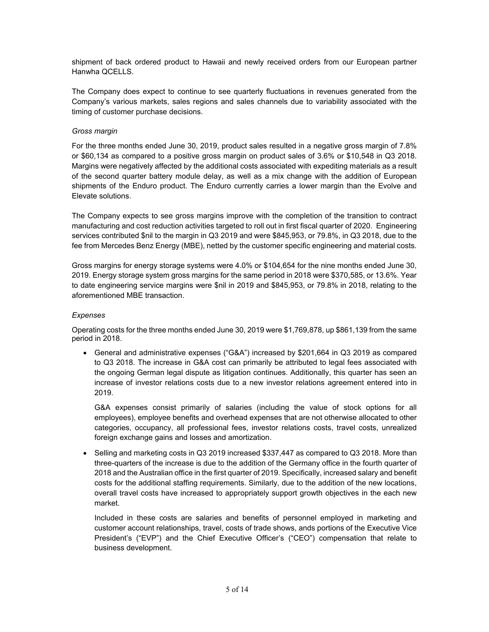shipment of back ordered product to Hawaii and newly received orders from our European partner Hanwha QCELLS.

The Company does expect to continue to see quarterly fluctuations in revenues generated from the Company's various markets, sales regions and sales channels due to variability associated with the timing of customer purchase decisions.

#### *Gross margin*

For the three months ended June 30, 2019, product sales resulted in a negative gross margin of 7.8% or \$60,134 as compared to a positive gross margin on product sales of 3.6% or \$10,548 in Q3 2018. Margins were negatively affected by the additional costs associated with expediting materials as a result of the second quarter battery module delay, as well as a mix change with the addition of European shipments of the Enduro product. The Enduro currently carries a lower margin than the Evolve and Elevate solutions.

The Company expects to see gross margins improve with the completion of the transition to contract manufacturing and cost reduction activities targeted to roll out in first fiscal quarter of 2020. Engineering services contributed \$nil to the margin in Q3 2019 and were \$845,953, or 79.8%, in Q3 2018, due to the fee from Mercedes Benz Energy (MBE), netted by the customer specific engineering and material costs.

Gross margins for energy storage systems were 4.0% or \$104,654 for the nine months ended June 30, 2019. Energy storage system gross margins for the same period in 2018 were \$370,585, or 13.6%. Year to date engineering service margins were \$nil in 2019 and \$845,953, or 79.8% in 2018, relating to the aforementioned MBE transaction.

### *Expenses*

Operating costs for the three months ended June 30, 2019 were \$1,769,878, up \$861,139 from the same period in 2018.

• General and administrative expenses ("G&A") increased by \$201,664 in Q3 2019 as compared to Q3 2018. The increase in G&A cost can primarily be attributed to legal fees associated with the ongoing German legal dispute as litigation continues. Additionally, this quarter has seen an increase of investor relations costs due to a new investor relations agreement entered into in 2019.

G&A expenses consist primarily of salaries (including the value of stock options for all employees), employee benefits and overhead expenses that are not otherwise allocated to other categories, occupancy, all professional fees, investor relations costs, travel costs, unrealized foreign exchange gains and losses and amortization.

• Selling and marketing costs in Q3 2019 increased \$337,447 as compared to Q3 2018. More than three-quarters of the increase is due to the addition of the Germany office in the fourth quarter of 2018 and the Australian office in the first quarter of 2019. Specifically, increased salary and benefit costs for the additional staffing requirements. Similarly, due to the addition of the new locations, overall travel costs have increased to appropriately support growth objectives in the each new market.

Included in these costs are salaries and benefits of personnel employed in marketing and customer account relationships, travel, costs of trade shows, ands portions of the Executive Vice President's ("EVP") and the Chief Executive Officer's ("CEO") compensation that relate to business development.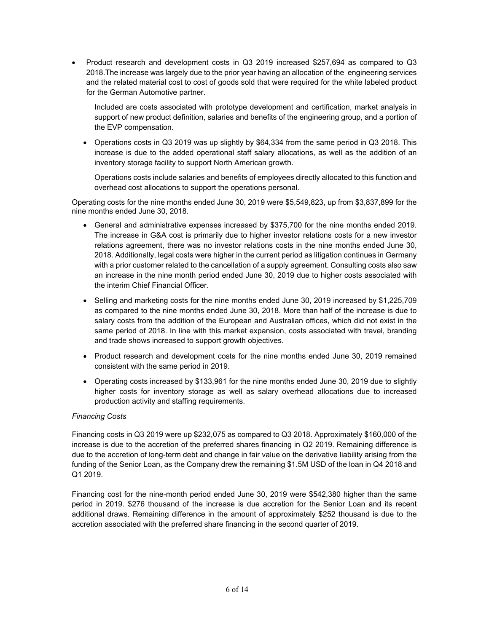• Product research and development costs in Q3 2019 increased \$257,694 as compared to Q3 2018.The increase was largely due to the prior year having an allocation of the engineering services and the related material cost to cost of goods sold that were required for the white labeled product for the German Automotive partner.

Included are costs associated with prototype development and certification, market analysis in support of new product definition, salaries and benefits of the engineering group, and a portion of the EVP compensation.

• Operations costs in Q3 2019 was up slightly by \$64,334 from the same period in Q3 2018. This increase is due to the added operational staff salary allocations, as well as the addition of an inventory storage facility to support North American growth.

Operations costs include salaries and benefits of employees directly allocated to this function and overhead cost allocations to support the operations personal.

Operating costs for the nine months ended June 30, 2019 were \$5,549,823, up from \$3,837,899 for the nine months ended June 30, 2018.

- General and administrative expenses increased by \$375,700 for the nine months ended 2019. The increase in G&A cost is primarily due to higher investor relations costs for a new investor relations agreement, there was no investor relations costs in the nine months ended June 30, 2018. Additionally, legal costs were higher in the current period as litigation continues in Germany with a prior customer related to the cancellation of a supply agreement. Consulting costs also saw an increase in the nine month period ended June 30, 2019 due to higher costs associated with the interim Chief Financial Officer.
- Selling and marketing costs for the nine months ended June 30, 2019 increased by \$1,225,709 as compared to the nine months ended June 30, 2018. More than half of the increase is due to salary costs from the addition of the European and Australian offices, which did not exist in the same period of 2018. In line with this market expansion, costs associated with travel, branding and trade shows increased to support growth objectives.
- Product research and development costs for the nine months ended June 30, 2019 remained consistent with the same period in 2019.
- Operating costs increased by \$133,961 for the nine months ended June 30, 2019 due to slightly higher costs for inventory storage as well as salary overhead allocations due to increased production activity and staffing requirements.

#### *Financing Costs*

Financing costs in Q3 2019 were up \$232,075 as compared to Q3 2018. Approximately \$160,000 of the increase is due to the accretion of the preferred shares financing in Q2 2019. Remaining difference is due to the accretion of long-term debt and change in fair value on the derivative liability arising from the funding of the Senior Loan, as the Company drew the remaining \$1.5M USD of the loan in Q4 2018 and Q1 2019.

Financing cost for the nine-month period ended June 30, 2019 were \$542,380 higher than the same period in 2019. \$276 thousand of the increase is due accretion for the Senior Loan and its recent additional draws. Remaining difference in the amount of approximately \$252 thousand is due to the accretion associated with the preferred share financing in the second quarter of 2019.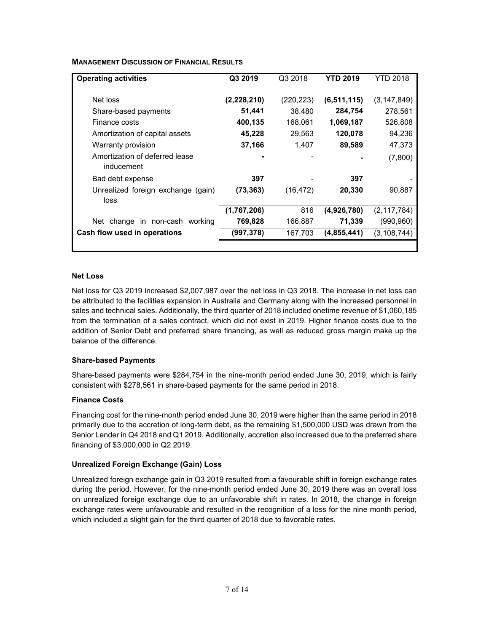| <b>Operating activities</b>                  | Q3 2019     | Q3 2018    | YTD 2019      | YTD 2018      |
|----------------------------------------------|-------------|------------|---------------|---------------|
| Net loss                                     | (2,228,210) | (220, 223) | (6, 511, 115) | (3,147,849)   |
| Share-based payments                         | 51,441      | 38,480     | 284,754       | 278,561       |
| Finance costs                                | 400,135     | 168,061    | 1,069,187     | 526,808       |
| Amortization of capital assets               | 45,228      | 29,563     | 120,078       | 94,236        |
| Warranty provision                           | 37,166      | 1,407      | 89,589        | 47,373        |
| Amortization of deferred lease<br>inducement |             |            |               | (7,800)       |
| Bad debt expense                             | 397         |            | 397           |               |
| Unrealized foreign exchange (gain)<br>loss   | (73,363)    | (16, 472)  | 20,330        | 90,887        |
|                                              | (1,767,206) | 816        | (4,926,780)   | (2, 117, 784) |
| Net change in non-cash working               | 769,828     | 166,887    | 71,339        | (990, 960)    |
| Cash flow used in operations                 | (997, 378)  | 167,703    | (4,855,441)   | (3,108,744)   |
|                                              |             |            |               |               |

# **MANAGEMENT DISCUSSION OF FINANCIAL RESULTS**

#### **Net Loss**

Net loss for Q3 2019 increased \$2,007,987 over the net loss in Q3 2018. The increase in net loss can be attributed to the facilities expansion in Australia and Germany along with the increased personnel in sales and technical sales. Additionally, the third quarter of 2018 included onetime revenue of \$1,060,185 from the termination of a sales contract, which did not exist in 2019. Higher finance costs due to the addition of Senior Debt and preferred share financing, as well as reduced gross margin make up the balance of the difference.

#### **Share-based Payments**

Share-based payments were \$284,754 in the nine-month period ended June 30, 2019, which is fairly consistent with \$278,561 in share-based payments for the same period in 2018.

#### **Finance Costs**

Financing cost for the nine-month period ended June 30, 2019 were higher than the same period in 2018 primarily due to the accretion of long-term debt, as the remaining \$1,500,000 USD was drawn from the Senior Lender in Q4 2018 and Q1 2019. Additionally, accretion also increased due to the preferred share financing of \$3,000,000 in Q2 2019.

#### **Unrealized Foreign Exchange (Gain) Loss**

Unrealized foreign exchange gain in Q3 2019 resulted from a favourable shift in foreign exchange rates during the period. However, for the nine-month period ended June 30, 2019 there was an overall loss on unrealized foreign exchange due to an unfavorable shift in rates. In 2018, the change in foreign exchange rates were unfavourable and resulted in the recognition of a loss for the nine month period, which included a slight gain for the third quarter of 2018 due to favorable rates.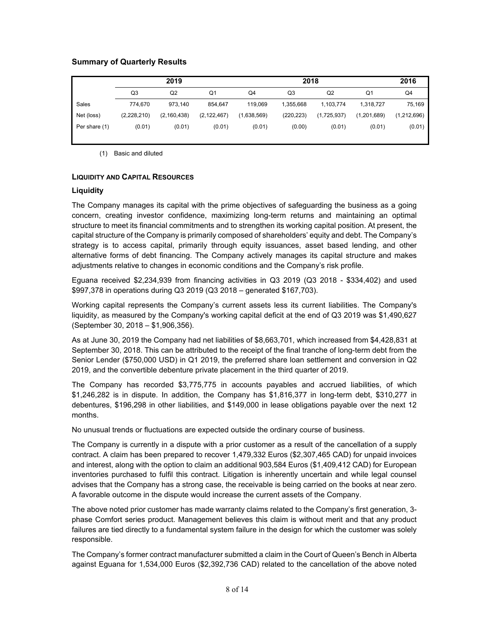# **Summary of Quarterly Results**

|               | 2019        |               |                | 2018        |            |             |             | 2016        |
|---------------|-------------|---------------|----------------|-------------|------------|-------------|-------------|-------------|
|               | Q3          | Q2            | Q <sub>1</sub> | Q4          | Q3         | Q2          | Q1          | Q4          |
| Sales         | 774.670     | 973.140       | 854.647        | 119.069     | 1.355.668  | 1.103.774   | 1.318.727   | 75,169      |
| Net (loss)    | (2,228,210) | (2, 160, 438) | (2, 122, 467)  | (1,638,569) | (220, 223) | (1,725,937) | (1,201,689) | (1,212,696) |
| Per share (1) | (0.01)      | (0.01)        | (0.01)         | (0.01)      | (0.00)     | (0.01)      | (0.01)      | (0.01)      |

(1) Basic and diluted

#### **LIQUIDITY AND CAPITAL RESOURCES**

# **Liquidity**

The Company manages its capital with the prime objectives of safeguarding the business as a going concern, creating investor confidence, maximizing long-term returns and maintaining an optimal structure to meet its financial commitments and to strengthen its working capital position. At present, the capital structure of the Company is primarily composed of shareholders' equity and debt. The Company's strategy is to access capital, primarily through equity issuances, asset based lending, and other alternative forms of debt financing. The Company actively manages its capital structure and makes adjustments relative to changes in economic conditions and the Company's risk profile.

Eguana received \$2,234,939 from financing activities in Q3 2019 (Q3 2018 - \$334,402) and used \$997,378 in operations during Q3 2019 (Q3 2018 – generated \$167,703).

Working capital represents the Company's current assets less its current liabilities. The Company's liquidity, as measured by the Company's working capital deficit at the end of Q3 2019 was \$1,490,627 (September 30, 2018 – \$1,906,356).

As at June 30, 2019 the Company had net liabilities of \$8,663,701, which increased from \$4,428,831 at September 30, 2018. This can be attributed to the receipt of the final tranche of long-term debt from the Senior Lender (\$750,000 USD) in Q1 2019, the preferred share loan settlement and conversion in Q2 2019, and the convertible debenture private placement in the third quarter of 2019.

The Company has recorded \$3,775,775 in accounts payables and accrued liabilities, of which \$1,246,282 is in dispute. In addition, the Company has \$1,816,377 in long-term debt, \$310,277 in debentures, \$196,298 in other liabilities, and \$149,000 in lease obligations payable over the next 12 months.

No unusual trends or fluctuations are expected outside the ordinary course of business.

The Company is currently in a dispute with a prior customer as a result of the cancellation of a supply contract. A claim has been prepared to recover 1,479,332 Euros (\$2,307,465 CAD) for unpaid invoices and interest, along with the option to claim an additional 903,584 Euros (\$1,409,412 CAD) for European inventories purchased to fulfil this contract. Litigation is inherently uncertain and while legal counsel advises that the Company has a strong case, the receivable is being carried on the books at near zero. A favorable outcome in the dispute would increase the current assets of the Company.

The above noted prior customer has made warranty claims related to the Company's first generation, 3 phase Comfort series product. Management believes this claim is without merit and that any product failures are tied directly to a fundamental system failure in the design for which the customer was solely responsible.

The Company's former contract manufacturer submitted a claim in the Court of Queen's Bench in Alberta against Eguana for 1,534,000 Euros (\$2,392,736 CAD) related to the cancellation of the above noted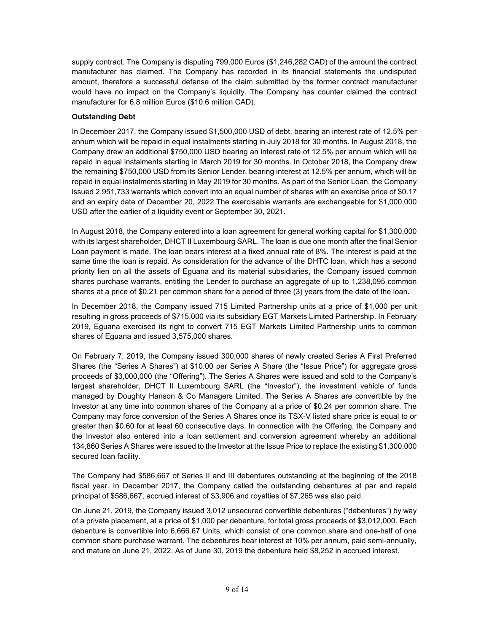supply contract. The Company is disputing 799,000 Euros (\$1,246,282 CAD) of the amount the contract manufacturer has claimed. The Company has recorded in its financial statements the undisputed amount, therefore a successful defense of the claim submitted by the former contract manufacturer would have no impact on the Company's liquidity. The Company has counter claimed the contract manufacturer for 6.8 million Euros (\$10.6 million CAD).

# **Outstanding Debt**

In December 2017, the Company issued \$1,500,000 USD of debt, bearing an interest rate of 12.5% per annum which will be repaid in equal instalments starting in July 2018 for 30 months. In August 2018, the Company drew an additional \$750,000 USD bearing an interest rate of 12.5% per annum which will be repaid in equal instalments starting in March 2019 for 30 months. In October 2018, the Company drew the remaining \$750,000 USD from its Senior Lender, bearing interest at 12.5% per annum, which will be repaid in equal instalments starting in May 2019 for 30 months. As part of the Senior Loan, the Company issued 2,951,733 warrants which convert into an equal number of shares with an exercise price of \$0.17 and an expiry date of December 20, 2022.The exercisable warrants are exchangeable for \$1,000,000 USD after the earlier of a liquidity event or September 30, 2021.

In August 2018, the Company entered into a loan agreement for general working capital for \$1,300,000 with its largest shareholder, DHCT II Luxembourg SARL. The loan is due one month after the final Senior Loan payment is made. The loan bears interest at a fixed annual rate of 8%. The interest is paid at the same time the loan is repaid. As consideration for the advance of the DHTC loan, which has a second priority lien on all the assets of Eguana and its material subsidiaries, the Company issued common shares purchase warrants, entitling the Lender to purchase an aggregate of up to 1,238,095 common shares at a price of \$0.21 per common share for a period of three (3) years from the date of the loan.

In December 2018, the Company issued 715 Limited Partnership units at a price of \$1,000 per unit resulting in gross proceeds of \$715,000 via its subsidiary EGT Markets Limited Partnership. In February 2019, Eguana exercised its right to convert 715 EGT Markets Limited Partnership units to common shares of Eguana and issued 3,575,000 shares.

On February 7, 2019, the Company issued 300,000 shares of newly created Series A First Preferred Shares (the "Series A Shares") at \$10.00 per Series A Share (the "Issue Price") for aggregate gross proceeds of \$3,000,000 (the "Offering"). The Series A Shares were issued and sold to the Company's largest shareholder, DHCT II Luxembourg SARL (the "Investor"), the investment vehicle of funds managed by Doughty Hanson & Co Managers Limited. The Series A Shares are convertible by the Investor at any time into common shares of the Company at a price of \$0.24 per common share. The Company may force conversion of the Series A Shares once its TSX-V listed share price is equal to or greater than \$0.60 for at least 60 consecutive days. In connection with the Offering, the Company and the Investor also entered into a loan settlement and conversion agreement whereby an additional 134,860 Series A Shares were issued to the Investor at the Issue Price to replace the existing \$1,300,000 secured loan facility.

The Company had \$586,667 of Series II and III debentures outstanding at the beginning of the 2018 fiscal year. In December 2017, the Company called the outstanding debentures at par and repaid principal of \$586,667, accrued interest of \$3,906 and royalties of \$7,265 was also paid.

On June 21, 2019, the Company issued 3,012 unsecured convertible debentures ("debentures") by way of a private placement, at a price of \$1,000 per debenture, for total gross proceeds of \$3,012,000. Each debenture is convertible into 6,666.67 Units, which consist of one common share and one-half of one common share purchase warrant. The debentures bear interest at 10% per annum, paid semi-annually, and mature on June 21, 2022. As of June 30, 2019 the debenture held \$8,252 in accrued interest.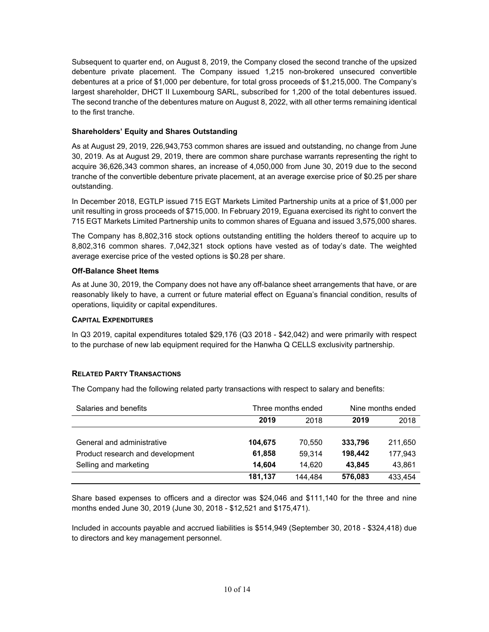Subsequent to quarter end, on August 8, 2019, the Company closed the second tranche of the upsized debenture private placement. The Company issued 1,215 non-brokered unsecured convertible debentures at a price of \$1,000 per debenture, for total gross proceeds of \$1,215,000. The Company's largest shareholder, DHCT II Luxembourg SARL, subscribed for 1,200 of the total debentures issued. The second tranche of the debentures mature on August 8, 2022, with all other terms remaining identical to the first tranche.

# **Shareholders' Equity and Shares Outstanding**

As at August 29, 2019, 226,943,753 common shares are issued and outstanding, no change from June 30, 2019. As at August 29, 2019, there are common share purchase warrants representing the right to acquire 36,626,343 common shares, an increase of 4,050,000 from June 30, 2019 due to the second tranche of the convertible debenture private placement, at an average exercise price of \$0.25 per share outstanding.

In December 2018, EGTLP issued 715 EGT Markets Limited Partnership units at a price of \$1,000 per unit resulting in gross proceeds of \$715,000. In February 2019, Eguana exercised its right to convert the 715 EGT Markets Limited Partnership units to common shares of Eguana and issued 3,575,000 shares.

The Company has 8,802,316 stock options outstanding entitling the holders thereof to acquire up to 8,802,316 common shares. 7,042,321 stock options have vested as of today's date. The weighted average exercise price of the vested options is \$0.28 per share.

#### **Off-Balance Sheet Items**

As at June 30, 2019, the Company does not have any off-balance sheet arrangements that have, or are reasonably likely to have, a current or future material effect on Eguana's financial condition, results of operations, liquidity or capital expenditures.

#### **CAPITAL EXPENDITURES**

In Q3 2019, capital expenditures totaled \$29,176 (Q3 2018 - \$42,042) and were primarily with respect to the purchase of new lab equipment required for the Hanwha Q CELLS exclusivity partnership.

# **RELATED PARTY TRANSACTIONS**

The Company had the following related party transactions with respect to salary and benefits:

| Salaries and benefits            | Three months ended |         | Nine months ended |         |
|----------------------------------|--------------------|---------|-------------------|---------|
|                                  | 2019               | 2018    | 2019              | 2018    |
|                                  |                    |         |                   |         |
| General and administrative       | 104.675            | 70.550  | 333,796           | 211,650 |
| Product research and development | 61.858             | 59.314  | 198.442           | 177.943 |
| Selling and marketing            | 14.604             | 14.620  | 43.845            | 43,861  |
|                                  | 181.137            | 144.484 | 576.083           | 433.454 |

Share based expenses to officers and a director was \$24,046 and \$111,140 for the three and nine months ended June 30, 2019 (June 30, 2018 - \$12,521 and \$175,471).

Included in accounts payable and accrued liabilities is \$514,949 (September 30, 2018 - \$324,418) due to directors and key management personnel.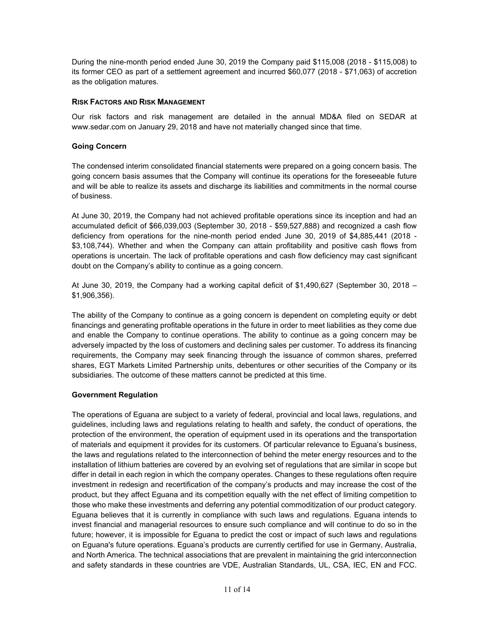During the nine-month period ended June 30, 2019 the Company paid \$115,008 (2018 - \$115,008) to its former CEO as part of a settlement agreement and incurred \$60,077 (2018 - \$71,063) of accretion as the obligation matures.

# **RISK FACTORS AND RISK MANAGEMENT**

Our risk factors and risk management are detailed in the annual MD&A filed on SEDAR at [www.sedar.com](http://www.sedar.com/) on January 29, 2018 and have not materially changed since that time.

### **Going Concern**

The condensed interim consolidated financial statements were prepared on a going concern basis. The going concern basis assumes that the Company will continue its operations for the foreseeable future and will be able to realize its assets and discharge its liabilities and commitments in the normal course of business.

At June 30, 2019, the Company had not achieved profitable operations since its inception and had an accumulated deficit of \$66,039,003 (September 30, 2018 - \$59,527,888) and recognized a cash flow deficiency from operations for the nine-month period ended June 30, 2019 of \$4,885,441 (2018 - \$3,108,744). Whether and when the Company can attain profitability and positive cash flows from operations is uncertain. The lack of profitable operations and cash flow deficiency may cast significant doubt on the Company's ability to continue as a going concern.

At June 30, 2019, the Company had a working capital deficit of \$1,490,627 (September 30, 2018 – \$1,906,356).

The ability of the Company to continue as a going concern is dependent on completing equity or debt financings and generating profitable operations in the future in order to meet liabilities as they come due and enable the Company to continue operations. The ability to continue as a going concern may be adversely impacted by the loss of customers and declining sales per customer. To address its financing requirements, the Company may seek financing through the issuance of common shares, preferred shares, EGT Markets Limited Partnership units, debentures or other securities of the Company or its subsidiaries. The outcome of these matters cannot be predicted at this time.

#### **Government Regulation**

The operations of Eguana are subject to a variety of federal, provincial and local laws, regulations, and guidelines, including laws and regulations relating to health and safety, the conduct of operations, the protection of the environment, the operation of equipment used in its operations and the transportation of materials and equipment it provides for its customers. Of particular relevance to Eguana's business, the laws and regulations related to the interconnection of behind the meter energy resources and to the installation of lithium batteries are covered by an evolving set of regulations that are similar in scope but differ in detail in each region in which the company operates. Changes to these regulations often require investment in redesign and recertification of the company's products and may increase the cost of the product, but they affect Eguana and its competition equally with the net effect of limiting competition to those who make these investments and deferring any potential commoditization of our product category. Eguana believes that it is currently in compliance with such laws and regulations. Eguana intends to invest financial and managerial resources to ensure such compliance and will continue to do so in the future; however, it is impossible for Eguana to predict the cost or impact of such laws and regulations on Eguana's future operations. Eguana's products are currently certified for use in Germany, Australia, and North America. The technical associations that are prevalent in maintaining the grid interconnection and safety standards in these countries are VDE, Australian Standards, UL, CSA, IEC, EN and FCC.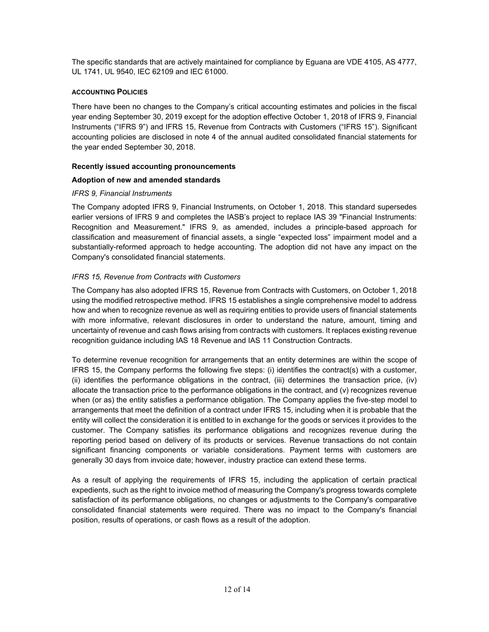The specific standards that are actively maintained for compliance by Eguana are VDE 4105, AS 4777, UL 1741, UL 9540, IEC 62109 and IEC 61000.

# **ACCOUNTING POLICIES**

There have been no changes to the Company's critical accounting estimates and policies in the fiscal year ending September 30, 2019 except for the adoption effective October 1, 2018 of IFRS 9, Financial Instruments ("IFRS 9") and IFRS 15, Revenue from Contracts with Customers ("IFRS 15"). Significant accounting policies are disclosed in note 4 of the annual audited consolidated financial statements for the year ended September 30, 2018.

# **Recently issued accounting pronouncements**

# **Adoption of new and amended standards**

# *IFRS 9, Financial Instruments*

The Company adopted IFRS 9, Financial Instruments, on October 1, 2018. This standard supersedes earlier versions of IFRS 9 and completes the IASB's project to replace IAS 39 "Financial Instruments: Recognition and Measurement." IFRS 9, as amended, includes a principle-based approach for classification and measurement of financial assets, a single "expected loss" impairment model and a substantially-reformed approach to hedge accounting. The adoption did not have any impact on the Company's consolidated financial statements.

# *IFRS 15, Revenue from Contracts with Customers*

The Company has also adopted IFRS 15, Revenue from Contracts with Customers, on October 1, 2018 using the modified retrospective method. IFRS 15 establishes a single comprehensive model to address how and when to recognize revenue as well as requiring entities to provide users of financial statements with more informative, relevant disclosures in order to understand the nature, amount, timing and uncertainty of revenue and cash flows arising from contracts with customers. It replaces existing revenue recognition guidance including IAS 18 Revenue and IAS 11 Construction Contracts.

To determine revenue recognition for arrangements that an entity determines are within the scope of IFRS 15, the Company performs the following five steps: (i) identifies the contract(s) with a customer, (ii) identifies the performance obligations in the contract, (iii) determines the transaction price, (iv) allocate the transaction price to the performance obligations in the contract, and (v) recognizes revenue when (or as) the entity satisfies a performance obligation. The Company applies the five-step model to arrangements that meet the definition of a contract under IFRS 15, including when it is probable that the entity will collect the consideration it is entitled to in exchange for the goods or services it provides to the customer. The Company satisfies its performance obligations and recognizes revenue during the reporting period based on delivery of its products or services. Revenue transactions do not contain significant financing components or variable considerations. Payment terms with customers are generally 30 days from invoice date; however, industry practice can extend these terms.

As a result of applying the requirements of IFRS 15, including the application of certain practical expedients, such as the right to invoice method of measuring the Company's progress towards complete satisfaction of its performance obligations, no changes or adjustments to the Company's comparative consolidated financial statements were required. There was no impact to the Company's financial position, results of operations, or cash flows as a result of the adoption.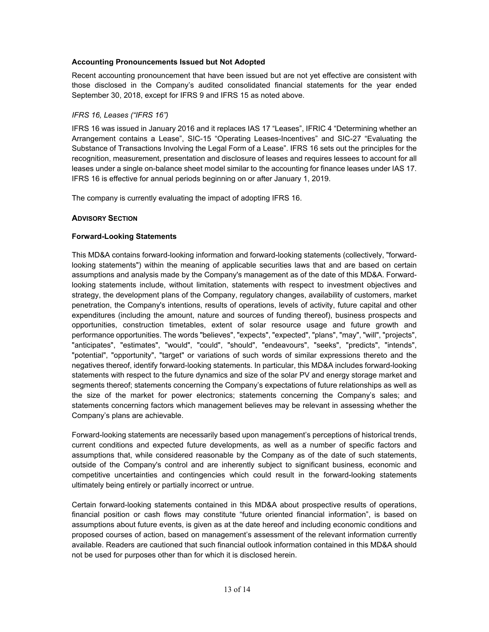# **Accounting Pronouncements Issued but Not Adopted**

Recent accounting pronouncement that have been issued but are not yet effective are consistent with those disclosed in the Company's audited consolidated financial statements for the year ended September 30, 2018, except for IFRS 9 and IFRS 15 as noted above.

# *IFRS 16, Leases ("IFRS 16")*

IFRS 16 was issued in January 2016 and it replaces IAS 17 "Leases", IFRIC 4 "Determining whether an Arrangement contains a Lease", SIC-15 "Operating Leases-Incentives" and SIC-27 "Evaluating the Substance of Transactions Involving the Legal Form of a Lease". IFRS 16 sets out the principles for the recognition, measurement, presentation and disclosure of leases and requires lessees to account for all leases under a single on-balance sheet model similar to the accounting for finance leases under IAS 17. IFRS 16 is effective for annual periods beginning on or after January 1, 2019.

The company is currently evaluating the impact of adopting IFRS 16.

# **ADVISORY SECTION**

# **Forward-Looking Statements**

This MD&A contains forward-looking information and forward-looking statements (collectively, "forwardlooking statements") within the meaning of applicable securities laws that and are based on certain assumptions and analysis made by the Company's management as of the date of this MD&A. Forwardlooking statements include, without limitation, statements with respect to investment objectives and strategy, the development plans of the Company, regulatory changes, availability of customers, market penetration, the Company's intentions, results of operations, levels of activity, future capital and other expenditures (including the amount, nature and sources of funding thereof), business prospects and opportunities, construction timetables, extent of solar resource usage and future growth and performance opportunities. The words "believes", "expects", "expected", "plans", "may", "will", "projects", "anticipates", "estimates", "would", "could", "should", "endeavours", "seeks", "predicts", "intends", "potential", "opportunity", "target" or variations of such words of similar expressions thereto and the negatives thereof, identify forward-looking statements. In particular, this MD&A includes forward-looking statements with respect to the future dynamics and size of the solar PV and energy storage market and segments thereof; statements concerning the Company's expectations of future relationships as well as the size of the market for power electronics; statements concerning the Company's sales; and statements concerning factors which management believes may be relevant in assessing whether the Company's plans are achievable.

Forward-looking statements are necessarily based upon management's perceptions of historical trends, current conditions and expected future developments, as well as a number of specific factors and assumptions that, while considered reasonable by the Company as of the date of such statements, outside of the Company's control and are inherently subject to significant business, economic and competitive uncertainties and contingencies which could result in the forward-looking statements ultimately being entirely or partially incorrect or untrue.

Certain forward-looking statements contained in this MD&A about prospective results of operations, financial position or cash flows may constitute "future oriented financial information", is based on assumptions about future events, is given as at the date hereof and including economic conditions and proposed courses of action, based on management's assessment of the relevant information currently available. Readers are cautioned that such financial outlook information contained in this MD&A should not be used for purposes other than for which it is disclosed herein.